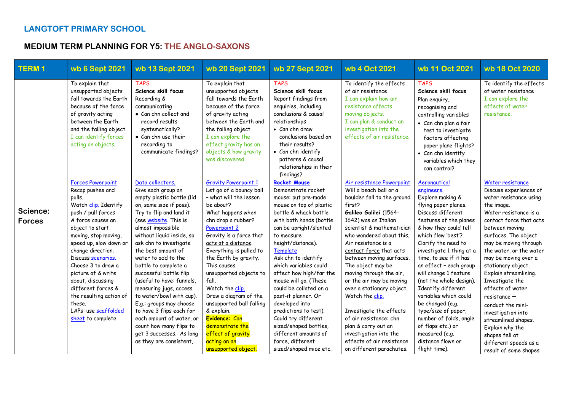## **LANGTOFT PRIMARY SCHOOL**

## **MEDIUM TERM PLANNING FOR Y5: THE ANGLO-SAXONS**

| <b>TERM1</b>              | wb 6 Sept 2021                                                                                                                                                                                                                                                                                                                                                                                                     | wb 13 Sept 2021                                                                                                                                                                                                                                                                                                                                                                                                                                                                                                                                                                       | wb 20 Sept 2021                                                                                                                                                                                                                                                                                                                                                                                                                                                                                        | wb 27 Sept 2021                                                                                                                                                                                                                                                                                                                                                                                                                                                                                                                                | wb 4 Oct 2021                                                                                                                                                                                                                                                                                                                                                                                                                                                                                                                                                                   | wb 11 Oct 2021                                                                                                                                                                                                                                                                                                                                                                                                                                                                                                                   | wb 18 Oct 2020                                                                                                                                                                                                                                                                                                                                                                                                                                                                                                                |
|---------------------------|--------------------------------------------------------------------------------------------------------------------------------------------------------------------------------------------------------------------------------------------------------------------------------------------------------------------------------------------------------------------------------------------------------------------|---------------------------------------------------------------------------------------------------------------------------------------------------------------------------------------------------------------------------------------------------------------------------------------------------------------------------------------------------------------------------------------------------------------------------------------------------------------------------------------------------------------------------------------------------------------------------------------|--------------------------------------------------------------------------------------------------------------------------------------------------------------------------------------------------------------------------------------------------------------------------------------------------------------------------------------------------------------------------------------------------------------------------------------------------------------------------------------------------------|------------------------------------------------------------------------------------------------------------------------------------------------------------------------------------------------------------------------------------------------------------------------------------------------------------------------------------------------------------------------------------------------------------------------------------------------------------------------------------------------------------------------------------------------|---------------------------------------------------------------------------------------------------------------------------------------------------------------------------------------------------------------------------------------------------------------------------------------------------------------------------------------------------------------------------------------------------------------------------------------------------------------------------------------------------------------------------------------------------------------------------------|----------------------------------------------------------------------------------------------------------------------------------------------------------------------------------------------------------------------------------------------------------------------------------------------------------------------------------------------------------------------------------------------------------------------------------------------------------------------------------------------------------------------------------|-------------------------------------------------------------------------------------------------------------------------------------------------------------------------------------------------------------------------------------------------------------------------------------------------------------------------------------------------------------------------------------------------------------------------------------------------------------------------------------------------------------------------------|
|                           | To explain that<br>unsupported objects<br>fall towards the Earth<br>because of the force<br>of gravity acting<br>between the Earth<br>and the falling object<br>I can identify forces<br>acting on objects.                                                                                                                                                                                                        | <b>TAPS</b><br>Science skill focus<br>Recording &<br>communicating<br>• Can chn collect and<br>record results<br>systematically?<br>• Can chn use their<br>recording to<br>communicate findings?                                                                                                                                                                                                                                                                                                                                                                                      | To explain that<br>unsupported objects<br>fall towards the Earth<br>because of the force<br>of gravity acting<br>between the Earth and<br>the falling object<br>I can explore the<br>effect gravity has on<br>objects & how gravity<br>was discovered.                                                                                                                                                                                                                                                 | <b>TAPS</b><br>Science skill focus<br>Report findings from<br>enquiries, including<br>conclusions & causal<br>relationships<br>• Can chn draw<br>conclusions based on<br>their results?<br>• Can chn identify<br>patterns & causal<br>relationships in their<br>findings?                                                                                                                                                                                                                                                                      | To identify the effects<br>of air resistance<br>I can explain how air<br>resistance affects<br>moving objects.<br>I can plan & conduct an<br>investigation into the<br>effects of air resistance.                                                                                                                                                                                                                                                                                                                                                                               | <b>TAPS</b><br>Science skill focus<br>Plan enquiry,<br>recognising and<br>controlling variables<br>· Can chn plan a fair<br>test to investigate<br>factors affecting<br>paper plane flights?<br>• Can chn identify<br>variables which they<br>can control?                                                                                                                                                                                                                                                                       | To identify the effects<br>of water resistance<br>I can explore the<br>effects of water<br>resistance.                                                                                                                                                                                                                                                                                                                                                                                                                        |
| Science:<br><b>Forces</b> | <b>Forces Powerpoint</b><br>Recap pushes and<br>pulls.<br>Watch clip. Identify<br>push / pull forces<br>A force causes an<br>object to start<br>moving, stop moving,<br>speed up, slow down or<br>change direction.<br>Discuss scenarios.<br>Choose 3 to draw a<br>picture of & write<br>about, discussing<br>different forces &<br>the resulting action of<br>these.<br>LAPs: use scaffolded<br>sheet to complete | Data collectors.<br>Give each group an<br>empty plastic bottle (lid<br>on, same size if poss).<br>Try to flip and land it<br>(see website. This is<br>almost impossible<br>without liquid inside, so<br>ask chn to investigate<br>the best amount of<br>water to add to the<br>bottle to complete a<br>successful bottle flip<br>(useful to have: funnels,<br>measuring jugs, access<br>to water/bowl with cup).<br>E.g.: groups may choose<br>to have 3 flips each for<br>each amount of water, or<br>count how many flips to<br>get 3 successes. As long<br>as they are consistent, | <b>Gravity Powerpoint 1</b><br>Let go of a bouncy ball<br>- what will the lesson<br>be about?<br>What happens when<br>chn drop a rubber?<br>Powerpoint 2<br>Gravity is a force that<br>acts at a distance.<br>Everything is pulled to<br>the Earth by gravity.<br>This causes<br>unsupported objects to<br>fall.<br>Watch the clip.<br>Draw a diagram of the<br>unsupported ball falling<br>& explain.<br>Evidence: Can<br>demonstrate the<br>effect of gravity<br>acting on an<br>unsupported object. | <b>Rocket Mouse</b><br>Demonstrate rocket<br>mouse: put pre-made<br>mouse on top of plastic<br>bottle & whack bottle<br>with both hands (bottle<br>can be upright/slanted<br>to measure<br>height/distance).<br>Template<br>Ask chn to identify<br>which variables could<br>affect how high/far the<br>mouse will go. (These<br>could be collated on a<br>post-it planner. Or<br>developed into<br>predictions to test).<br>Could try different<br>sized/shaped bottles,<br>different amounts of<br>force, different<br>sized/shaped mice etc. | Air resistance Powerpoint<br>Will a beach ball or a<br>boulder fall to the ground<br>first?<br>Galileo Galilei (1564-<br>1642) was an Italian<br>scientist & mathematician<br>who wondered about this.<br>Air resistance is a<br>contact force that acts<br>between moving surfaces.<br>The object may be<br>moving through the air,<br>or the air may be moving<br>over a stationary object.<br>Watch the clip.<br>Investigate the effects<br>of air resistance: chn<br>plan & carry out an<br>investigation into the<br>effects of air resistance<br>on different parachutes. | Aeronautical<br>engineers.<br>Explore making &<br>flying paper planes.<br>Discuss different<br>features of the planes<br>& how they could tell<br>which flew 'best'?<br>Clarify the need to<br>investigate 1 thing at a<br>time, to see if it has<br>an effect - each group<br>will change 1 feature<br>(not the whole design).<br>Identify different<br>variables which could<br>be changed (e.g.<br>type/size of paper,<br>number of folds, angle<br>of flaps etc.) or<br>measured (e.g.<br>distance flown or<br>flight time). | Water resistance<br>Discuss experiences of<br>water resistance using<br>the image.<br>Water resistance is a<br>contact force that acts<br>between moving<br>surfaces. The object<br>may be moving through<br>the water, or the water<br>may be moving over a<br>stationary object.<br>Explain streamlining.<br>Investigate the<br>effects of water<br>$resistance -$<br>conduct the mini-<br>investigation into<br>streamlined shapes.<br>Explain why the<br>shapes fell at<br>different speeds as a<br>result of some shapes |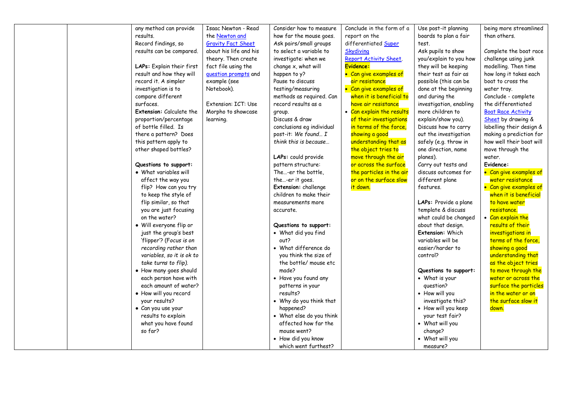| any method can provide          | Isaac Newton - Read       | Consider how to measure   | Conclude in the form of a | Use post-it planning    | being more streamlined    |
|---------------------------------|---------------------------|---------------------------|---------------------------|-------------------------|---------------------------|
| results.                        | the Newton and            | how far the mouse goes.   | report on the             | boards to plan a fair   | than others.              |
| Record findings, so             | <b>Gravity Fact Sheet</b> | Ask pairs/small groups    | differentiated Super      | test.                   |                           |
| results can be compared.        | about his life and his    | to select a variable to   | <b>Skydiving</b>          | Ask pupils to show      | Complete the boat race    |
|                                 | theory. Then create       | investigate: when we      | Report Activity Sheet.    | you/explain to you how  | challenge using junk      |
| LAPs: Explain their first       | fact file using the       | change x, what will       | Evidence:                 | they will be keeping    | modelling. Then time      |
| result and how they will        | question prompts and      | happen to y?              | • Can give examples of    | their test as fair as   | how long it takes each    |
| record it. A simpler            | example (see              | Pause to discuss          | air resistance            | possible (this can be   | boat to cross the         |
| investigation is to             | Notebook).                | testing/measuring         | • Can give examples of    | done at the beginning   | water tray.               |
| compare different               |                           | methods as required. Can  | when it is beneficial to  | and during the          | Conclude - complete       |
| surfaces.                       | Extension: ICT: Use       | record results as a       | have air resistance       | investigation, enabling | the differentiated        |
| <b>Extension:</b> Calculate the | Morpho to showcase        | group.                    | • Can explain the results | more children to        | <b>Boat Race Activity</b> |
| proportion/percentage           | learning.                 | Discuss & draw            | of their investigations   | explain/show you).      | Sheet by drawing &        |
| of bottle filled. Is            |                           | conclusions eg individual | in terms of the force,    | Discuss how to carry    | labelling their design &  |
| there a pattern? Does           |                           | post-it: We found I       | showing a good            | out the investigation   | making a prediction for   |
| this pattern apply to           |                           | think this is because     | understanding that as     | safely (e.g. throw in   | how well their boat will  |
| other shaped bottles?           |                           |                           | the object tries to       | one direction, name     | move through the          |
|                                 |                           | LAPs: could provide       | move through the air      | planes).                | water.                    |
| Questions to support:           |                           | pattern structure:        | or across the surface     | Carry out tests and     | Evidence:                 |
| • What variables will           |                           | The-er the bottle.        | the particles in the air  | discuss outcomes for    | • Can give examples of    |
| affect the way you              |                           | the-er it goes.           | or on the surface slow    | different plane         | water resistance          |
| flip? How can you try           |                           | Extension: challenge      | it down.                  | features.               | • Can give examples of    |
| to keep the style of            |                           | children to make their    |                           |                         | when it is beneficial     |
| flip similar, so that           |                           | measurements more         |                           | LAPs: Provide a plane   | to have water             |
| you are just focusing           |                           | accurate.                 |                           | template & discuss      | resistance.               |
| on the water?                   |                           |                           |                           | what could be changed   | • Can explain the         |
| · Will everyone flip or         |                           | Questions to support:     |                           | about that design.      | results of their          |
| just the group's best           |                           | • What did you find       |                           | Extension: Which        | investigations in         |
| 'flipper'? (Focus is on         |                           | out?                      |                           | variables will be       | terms of the force,       |
| recording rather than           |                           | • What difference do      |                           | easier/harder to        | showing a good            |
| variables, so it is ok to       |                           | you think the size of     |                           | control?                | understanding that        |
| take turns to flip).            |                           | the bottle/ mouse etc     |                           |                         | as the object tries       |
| • How many goes should          |                           | made?                     |                           | Questions to support:   | to move through the       |
| each person have with           |                           | • Have you found any      |                           | • What is your          | water or across the       |
| each amount of water?           |                           | patterns in your          |                           | question?               | surface the particles     |
| • How will you record           |                           | results?                  |                           | • How will you          | in the water or on        |
| your results?                   |                           | • Why do you think that   |                           | investigate this?       | the surface slow it       |
| · Can you use your              |                           | happened?                 |                           | • How will you keep     | down.                     |
| results to explain              |                           | • What else do you think  |                           | your test fair?         |                           |
| what you have found             |                           | affected how far the      |                           | • What will you         |                           |
| so far?                         |                           | mouse went?               |                           | change?                 |                           |
|                                 |                           |                           |                           |                         |                           |
|                                 |                           | • How did you know        |                           | • What will you         |                           |
|                                 |                           | which went furthest?      |                           | measure?                |                           |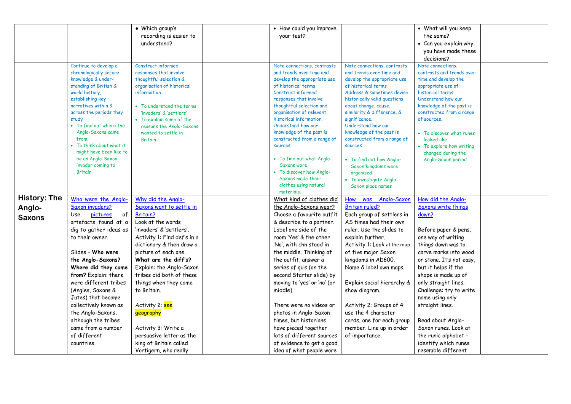|                     |                                                | · Which group's                                      | • How could you improve                              |                                                    | • What will you keep                                 |  |
|---------------------|------------------------------------------------|------------------------------------------------------|------------------------------------------------------|----------------------------------------------------|------------------------------------------------------|--|
|                     |                                                | recording is easier to                               | your test?                                           |                                                    | the same?                                            |  |
|                     |                                                | understand?                                          |                                                      |                                                    | • Can you explain why                                |  |
|                     |                                                |                                                      |                                                      |                                                    | you have made these                                  |  |
|                     |                                                |                                                      |                                                      |                                                    | decisions?                                           |  |
|                     | Continue to develop a                          | Construct informed                                   | Note connections, contrasts                          | Note connections, contrasts                        | Note connections.                                    |  |
|                     | chronologically secure                         | responses that involve                               | and trends over time and                             | and trends over time and                           | contrasts and trends over                            |  |
|                     | knowledge & under-                             | thoughtful selection &                               | develop the appropriate use                          | develop the appropriate use                        | time and develop the                                 |  |
|                     | standing of British &                          | organisation of historical                           | of historical terms                                  | of historical terms                                | appropriate use of                                   |  |
|                     | world history,                                 | information                                          | Construct informed                                   | Address & sometimes devise                         | historical terms                                     |  |
|                     | establishing key                               |                                                      | responses that involve                               | historically valid questions                       | Understand how our                                   |  |
|                     | narratives within &<br>across the periods they | • To understand the terms<br>'invaders' & 'settlers' | thoughtful selection and<br>organisation of relevant | about change, cause,<br>similarity & difference, & | knowledge of the past is<br>constructed from a range |  |
|                     | study                                          | • To explain some of the                             | historical information.                              | significance.                                      | of sources.                                          |  |
|                     | • To find out where the                        | reasons the Anglo-Saxons                             | Understand how our                                   | Understand how our                                 |                                                      |  |
|                     | Anglo-Saxons came                              | wanted to settle in                                  | knowledge of the past is                             | knowledge of the past is                           | • To discover what runes                             |  |
|                     | from.                                          | <b>Britain</b>                                       | constructed from a range of                          | constructed from a range of                        | looked like                                          |  |
|                     | • To think about what it                       |                                                      | sources.                                             | sources.                                           | • To explore how writing                             |  |
|                     | might have been like to                        |                                                      |                                                      |                                                    | changed during the                                   |  |
|                     | be an Anglo-Saxon                              |                                                      | • To find out what Anglo-                            | • To find out how Anglo-                           | Anglo-Saxon period                                   |  |
|                     | invader coming to                              |                                                      | Saxons wore                                          | Saxon kingdoms were                                |                                                      |  |
|                     | <b>Britain</b>                                 |                                                      | • To discover how Anglo-                             | organised                                          |                                                      |  |
|                     |                                                |                                                      | Saxons made their<br>clothes using natural           | • To investigate Anglo-                            |                                                      |  |
|                     |                                                |                                                      | materials.                                           | Saxon place names                                  |                                                      |  |
| <b>History: The</b> | Who were the Anglo-                            | Why did the Anglo-                                   | What kind of clothes did                             | How was Anglo-Saxon                                | How did the Anglo-                                   |  |
| Anglo-              | Saxon invaders?                                | Saxons want to settle in                             | the Anglo-Saxons wear?                               | <b>Britain ruled?</b>                              | Saxons write things                                  |  |
|                     | pictures<br>of<br>Use                          | <b>Britain?</b>                                      | Choose a favourite outfit                            | Each group of settlers in                          | down?                                                |  |
| <b>Saxons</b>       | artefacts found at a                           | Look at the words                                    | & describe to a partner.                             | AS times had their own                             |                                                      |  |
|                     | dig to gather ideas as                         | 'invaders' & 'settlers'.                             | Label one side of the                                | ruler. Use the slides to                           | Before paper & pens,                                 |  |
|                     | to their owner.                                | Activity 1: Find def's in a                          | room 'Yes' & the other                               | explain further.                                   | one way of writing                                   |  |
|                     |                                                | dictionary & then draw a                             | 'No', with chn stood in                              | Activity 1: Look at the map                        | things down was to                                   |  |
|                     | Slides - Who were                              | picture of each one.                                 | the middle. Thinking of                              | of five major Saxon                                | carve marks into wood                                |  |
|                     | the Anglo-Saxons?                              | What are the diff's?                                 | the outfit, answer a                                 | kingdoms in AD600.                                 | or stone. It's not easy,                             |  |
|                     | Where did they come                            | Explain: the Anglo-Saxon                             | series of qu's (on the                               | Name & label own maps.                             | but it helps if the                                  |  |
|                     | from? Explain: there                           | tribes did both of these                             | second Starter slide) by                             |                                                    | shape is made up of                                  |  |
|                     | were different tribes                          | things when they came                                | moving to 'yes' or 'no' (or                          | Explain social hierarchy &                         | only straight lines.                                 |  |
|                     | (Angles, Saxons &                              | to Britain.                                          | middle).                                             | show diagram.                                      | Challenge: try to write                              |  |
|                     |                                                |                                                      |                                                      |                                                    |                                                      |  |
|                     | Jutes) that became                             |                                                      |                                                      |                                                    | name using only                                      |  |
|                     | collectively known as                          | Activity 2: see                                      | There were no videos or                              | Activity 2: Groups of 4:                           | straight lines.                                      |  |
|                     | the Anglo-Saxons,                              | geography                                            | photos in Anglo-Saxon                                | use the 4 character                                |                                                      |  |
|                     | although the tribes                            |                                                      | times, but historians                                | cards, one for each group                          | Read about Anglo-                                    |  |
|                     | came from a number                             | Activity 3: Write a                                  | have pieced together                                 | member. Line up in order                           | Saxon runes. Look at                                 |  |
|                     | of different                                   | persuasive letter as the                             | lots of different sources                            | of importance.                                     | the runic alphabet -                                 |  |
|                     | countries.                                     | king of Britain called                               | of evidence to get a good                            |                                                    | identify which runes                                 |  |
|                     |                                                | Vortigern, who really                                | idea of what people wore                             |                                                    | resemble different                                   |  |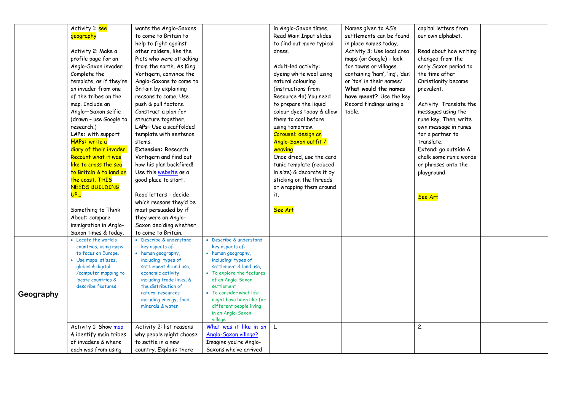|           | Activity 1: see                          | wants the Anglo-Saxons                      |                                                     | in Anglo-Saxon times.     | Names given to AS's            | capital letters from    |  |
|-----------|------------------------------------------|---------------------------------------------|-----------------------------------------------------|---------------------------|--------------------------------|-------------------------|--|
|           | geography                                | to come to Britain to                       |                                                     | Read Main Input slides    | settlements can be found       | our own alphabet.       |  |
|           |                                          | help to fight against                       |                                                     | to find out more typical  | in place names today.          |                         |  |
|           | Activity 2: Make a                       | other raiders, like the                     |                                                     | dress.                    | Activity 3: Use local area     | Read about how writing  |  |
|           | profile page for an                      | Picts who were attacking                    |                                                     |                           | maps (or Google) - look        | changed from the        |  |
|           | Anglo-Saxon invader.                     | from the north. As King                     |                                                     | Adult-led activity:       | for towns or villages          | early Saxon period to   |  |
|           | Complete the                             | Vortigern, convince the                     |                                                     | dyeing white wool using   | containing 'ham', 'ing', 'den' | the time after          |  |
|           | template, as if they're                  | Anglo-Saxons to come to                     |                                                     | natural colouring         | or 'ton' in their names/       | Christianity became     |  |
|           | an invader from one                      | Britain by explaining                       |                                                     | (instructions from        | What would the names           | prevalent.              |  |
|           | of the tribes on the                     | reasons to come. Use                        |                                                     | Resource 4a) You need     | have meant? Use the key        |                         |  |
|           | map. Include an                          | push & pull factors.                        |                                                     | to prepare the liquid     | Record findings using a        | Activity: Translate the |  |
|           | Anglo-Saxon selfie                       | Construct a plan for                        |                                                     | colour dyes today & allow | table.                         | messages using the      |  |
|           | (drawn - use Google to                   | structure together.                         |                                                     | them to cool before       |                                | rune key. Then, write   |  |
|           | research.)                               | LAPs: Use a scaffolded                      |                                                     | using tomorrow.           |                                | own message in runes    |  |
|           | LAPs: with support                       | template with sentence                      |                                                     | Carousel: design an       |                                | for a partner to        |  |
|           | HAPs: write a                            | stems.                                      |                                                     | Anglo-Saxon outfit /      |                                | translate.              |  |
|           | diary of their invader.                  | <b>Extension: Research</b>                  |                                                     | weaving                   |                                | Extend: go outside &    |  |
|           | Recount what it was                      | Vortigern and find out                      |                                                     | Once dried, use the card  |                                | chalk some runic words  |  |
|           | like to cross the sea                    | how his plan backfired!                     |                                                     | tunic template (reduced   |                                | or phrases onto the     |  |
|           | to Britain & to land on                  | Use this website as a                       |                                                     | in size) & decorate it by |                                | playground.             |  |
|           | the coast. THIS                          | good place to start.                        |                                                     | sticking on the threads   |                                |                         |  |
|           | <b>NEEDS BUILDING</b>                    |                                             |                                                     | or wrapping them around   |                                |                         |  |
|           | <b>UP</b>                                | Read letters - decide                       |                                                     | it.                       |                                | See Art                 |  |
|           |                                          | which reasons they'd be                     |                                                     |                           |                                |                         |  |
|           | Something to Think                       | most persuaded by if                        |                                                     | See Art                   |                                |                         |  |
|           | About: compare                           | they were an Anglo-                         |                                                     |                           |                                |                         |  |
|           | immigration in Anglo-                    | Saxon deciding whether                      |                                                     |                           |                                |                         |  |
|           | Saxon times & today.                     | to come to Britain.                         |                                                     |                           |                                |                         |  |
|           | • Locate the world's                     | • Describe & understand                     | • Describe & understand                             |                           |                                |                         |  |
|           | countries, using maps                    | key aspects of:                             | key aspects of:                                     |                           |                                |                         |  |
|           | to focus on Europe.                      | • human geography,                          | • human geography,                                  |                           |                                |                         |  |
|           | • Use maps, atlases,                     | including: types of                         | including: types of                                 |                           |                                |                         |  |
|           | globes & digital<br>/computer mapping to | settlement & land use,<br>economic activity | settlement & land use,<br>• To explore the features |                           |                                |                         |  |
|           | locate countries &                       | including trade links, &                    | of an Anglo-Saxon                                   |                           |                                |                         |  |
|           | describe features.                       | the distribution of                         | settlement                                          |                           |                                |                         |  |
| Geography |                                          | natural resources                           | • To consider what life                             |                           |                                |                         |  |
|           |                                          | including energy, food,                     | might have been like for                            |                           |                                |                         |  |
|           |                                          | minerals & water                            | different people living                             |                           |                                |                         |  |
|           |                                          |                                             | in an Anglo-Saxon                                   |                           |                                |                         |  |
|           |                                          |                                             | village                                             |                           |                                |                         |  |
|           | Activity 1: Show map                     | Activity 2: list reasons                    | What was it like in an                              | 1.                        |                                | 2.                      |  |
|           | & identify main tribes                   | why people might choose                     | Anglo-Saxon village?                                |                           |                                |                         |  |
|           | of invaders & where                      | to settle in a new                          | Imagine you're Anglo-                               |                           |                                |                         |  |
|           | each was from using                      | country. Explain: there                     | Saxons who've arrived                               |                           |                                |                         |  |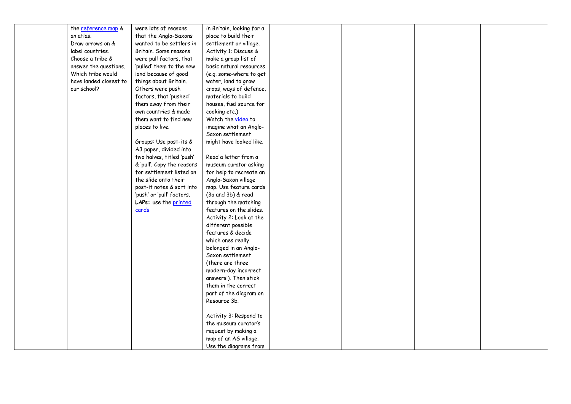| the reference map &    | were lots of reasons       | in Britain, looking for a |  |  |
|------------------------|----------------------------|---------------------------|--|--|
| an atlas.              | that the Anglo-Saxons      | place to build their      |  |  |
| Draw arrows on &       | wanted to be settlers in   | settlement or village.    |  |  |
| label countries.       | Britain. Some reasons      | Activity 1: Discuss &     |  |  |
| Choose a tribe &       | were pull factors, that    | make a group list of      |  |  |
| answer the questions.  | 'pulled' them to the new   | basic natural resources   |  |  |
| Which tribe would      | land because of good       | (e.g. some-where to get   |  |  |
| have landed closest to | things about Britain.      | water, land to grow       |  |  |
| our school?            | Others were push           | crops, ways of defence,   |  |  |
|                        | factors, that 'pushed'     | materials to build        |  |  |
|                        | them away from their       | houses, fuel source for   |  |  |
|                        | own countries & made       | cooking etc.)             |  |  |
|                        | them want to find new      | Watch the video to        |  |  |
|                        | places to live.            | imagine what an Anglo-    |  |  |
|                        |                            | Saxon settlement          |  |  |
|                        | Groups: Use post-its &     | might have looked like.   |  |  |
|                        | A3 paper, divided into     |                           |  |  |
|                        | two halves, titled 'push'  | Read a letter from a      |  |  |
|                        | & 'pull'. Copy the reasons | museum curator asking     |  |  |
|                        | for settlement listed on   | for help to recreate an   |  |  |
|                        | the slide onto their       | Anglo-Saxon village       |  |  |
|                        | post-it notes & sort into  | map. Use feature cards    |  |  |
|                        | 'push' or 'pull' factors.  | (3a and 3b) & read        |  |  |
|                        | LAPs: use the printed      | through the matching      |  |  |
|                        | cards                      | features on the slides.   |  |  |
|                        |                            | Activity 2: Look at the   |  |  |
|                        |                            | different possible        |  |  |
|                        |                            | features & decide         |  |  |
|                        |                            | which ones really         |  |  |
|                        |                            | belonged in an Anglo-     |  |  |
|                        |                            | Saxon settlement          |  |  |
|                        |                            | (there are three          |  |  |
|                        |                            | modern-day incorrect      |  |  |
|                        |                            | answers!). Then stick     |  |  |
|                        |                            | them in the correct       |  |  |
|                        |                            | part of the diagram on    |  |  |
|                        |                            | Resource 3b.              |  |  |
|                        |                            |                           |  |  |
|                        |                            | Activity 3: Respond to    |  |  |
|                        |                            | the museum curator's      |  |  |
|                        |                            | request by making a       |  |  |
|                        |                            | map of an AS village.     |  |  |
|                        |                            | Use the diagrams from     |  |  |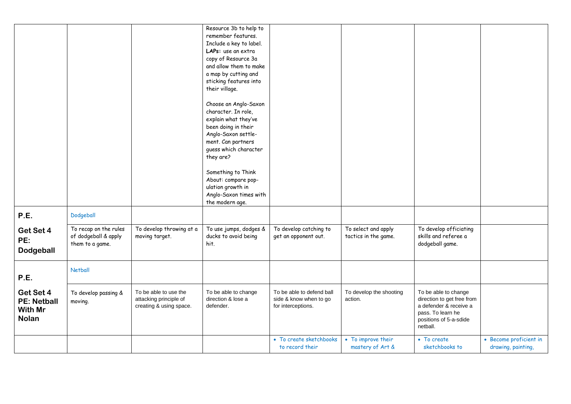|                    |                       |                          | Resource 3b to help to  |                           |                         |                            |                        |
|--------------------|-----------------------|--------------------------|-------------------------|---------------------------|-------------------------|----------------------------|------------------------|
|                    |                       |                          | remember features.      |                           |                         |                            |                        |
|                    |                       |                          | Include a key to label. |                           |                         |                            |                        |
|                    |                       |                          | LAPs: use an extra      |                           |                         |                            |                        |
|                    |                       |                          | copy of Resource 3a     |                           |                         |                            |                        |
|                    |                       |                          | and allow them to make  |                           |                         |                            |                        |
|                    |                       |                          | a map by cutting and    |                           |                         |                            |                        |
|                    |                       |                          | sticking features into  |                           |                         |                            |                        |
|                    |                       |                          | their village.          |                           |                         |                            |                        |
|                    |                       |                          | Choose an Anglo-Saxon   |                           |                         |                            |                        |
|                    |                       |                          | character. In role,     |                           |                         |                            |                        |
|                    |                       |                          | explain what they've    |                           |                         |                            |                        |
|                    |                       |                          | been doing in their     |                           |                         |                            |                        |
|                    |                       |                          | Anglo-Saxon settle-     |                           |                         |                            |                        |
|                    |                       |                          | ment. Can partners      |                           |                         |                            |                        |
|                    |                       |                          | guess which character   |                           |                         |                            |                        |
|                    |                       |                          | they are?               |                           |                         |                            |                        |
|                    |                       |                          |                         |                           |                         |                            |                        |
|                    |                       |                          | Something to Think      |                           |                         |                            |                        |
|                    |                       |                          | About: compare pop-     |                           |                         |                            |                        |
|                    |                       |                          | ulation growth in       |                           |                         |                            |                        |
|                    |                       |                          | Anglo-Saxon times with  |                           |                         |                            |                        |
|                    |                       |                          | the modern age.         |                           |                         |                            |                        |
| P.E.               | Dodgeball             |                          |                         |                           |                         |                            |                        |
| Get Set 4          | To recap on the rules | To develop throwing at a | To use jumps, dodges &  | To develop catching to    | To select and apply     | To develop officiating     |                        |
| PE:                | of dodgeball & apply  | moving target.           | ducks to avoid being    | get an opponent out.      | tactics in the game.    | skills and referee a       |                        |
|                    | them to a game.       |                          | hit.                    |                           |                         | dodgeball game.            |                        |
| <b>Dodgeball</b>   |                       |                          |                         |                           |                         |                            |                        |
|                    |                       |                          |                         |                           |                         |                            |                        |
|                    | <b>Netball</b>        |                          |                         |                           |                         |                            |                        |
| P.E.               |                       |                          |                         |                           |                         |                            |                        |
|                    |                       |                          |                         |                           |                         |                            |                        |
| Get Set 4          | To develop passing &  | To be able to use the    | To be able to change    | To be able to defend ball | To develop the shooting | To be able to change       |                        |
| <b>PE: Netball</b> | moving.               | attacking principle of   | direction & lose a      | side & know when to go    | action.                 | direction to get free from |                        |
| With Mr            |                       | creating & using space.  | defender.               | for interceptions.        |                         | a defender & receive a     |                        |
| <b>Nolan</b>       |                       |                          |                         |                           |                         | pass. To learn he          |                        |
|                    |                       |                          |                         |                           |                         | positions of 5-a-sdide     |                        |
|                    |                       |                          |                         |                           |                         | netball.                   |                        |
|                    |                       |                          |                         | • To create sketchbooks   | • To improve their      | • To create                | • Become proficient in |
|                    |                       |                          |                         | to record their           | mastery of Art &        | sketchbooks to             | drawing, painting,     |
|                    |                       |                          |                         |                           |                         |                            |                        |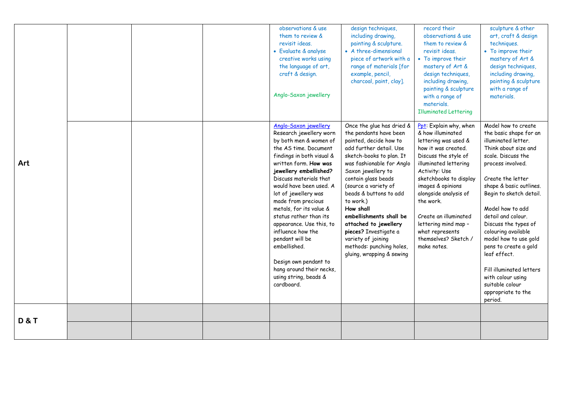|                |  | observations & use<br>them to review &<br>revisit ideas.<br>• Evaluate & analyse<br>creative works using<br>the language of art,<br>craft & design.<br>Anglo-Saxon jewellery                                                                                                                                                                                                                                                                                                                                                | design techniques,<br>including drawing,<br>painting & sculpture.<br>• A three-dimensional<br>piece of artwork with a<br>range of materials [for<br>example, pencil,<br>charcoal, paint, clay].                                                                                                                                                                                                                                                        | record their<br>observations & use<br>them to review &<br>revisit ideas.<br>• To improve their<br>mastery of Art &<br>design techniques,<br>including drawing,<br>painting & sculpture<br>with a range of<br>materials.<br><b>Illuminated Lettering</b>                                                                                                      | sculpture & other<br>art, craft & design<br>techniques.<br>• To improve their<br>mastery of Art &<br>design techniques,<br>including drawing,<br>painting & sculpture<br>with a range of<br>materials.                                                                                                                                                                                                                                                                             |
|----------------|--|-----------------------------------------------------------------------------------------------------------------------------------------------------------------------------------------------------------------------------------------------------------------------------------------------------------------------------------------------------------------------------------------------------------------------------------------------------------------------------------------------------------------------------|--------------------------------------------------------------------------------------------------------------------------------------------------------------------------------------------------------------------------------------------------------------------------------------------------------------------------------------------------------------------------------------------------------------------------------------------------------|--------------------------------------------------------------------------------------------------------------------------------------------------------------------------------------------------------------------------------------------------------------------------------------------------------------------------------------------------------------|------------------------------------------------------------------------------------------------------------------------------------------------------------------------------------------------------------------------------------------------------------------------------------------------------------------------------------------------------------------------------------------------------------------------------------------------------------------------------------|
| Art            |  | Anglo-Saxon jewellery<br>Research jewellery worn<br>by both men & women of<br>the AS time. Document<br>findings in both visual &<br>written form. How was<br>jewellery embellished?<br>Discuss materials that<br>would have been used. A<br>lot of jewellery was<br>made from precious<br>metals, for its value &<br>status rather than its<br>appearance. Use this, to<br>influence how the<br>pendant will be<br>embellished.<br>Design own pendant to<br>hang around their necks,<br>using string, beads &<br>cardboard. | Once the glue has dried &<br>the pendants have been<br>painted, decide how to<br>add further detail. Use<br>sketch-books to plan. It<br>was fashionable for Anglo<br>Saxon jewellery to<br>contain glass beads<br>(source a variety of<br>beads & buttons to add<br>to work.)<br>How shall<br>embellishments shall be<br>attached to jewellery<br>pieces? Investigate a<br>variety of joining<br>methods: punching holes,<br>gluing, wrapping & sewing | Ppt: Explain why, when<br>& how illuminated<br>lettering was used &<br>how it was created.<br>Discuss the style of<br>illuminated lettering<br>Activity: Use<br>sketchbooks to display<br>images & opinions<br>alongside analysis of<br>the work.<br>Create an illuminated<br>lettering mind map -<br>what represents<br>themselves? Sketch /<br>make notes. | Model how to create<br>the basic shape for an<br>illuminated letter.<br>Think about size and<br>scale. Discuss the<br>process involved.<br>Create the letter<br>shape & basic outlines.<br>Begin to sketch detail.<br>Model how to add<br>detail and colour.<br>Discuss the types of<br>colouring available<br>model how to use gold<br>pens to create a gold<br>leaf effect.<br>Fill illuminated letters<br>with colour using<br>suitable colour<br>appropriate to the<br>period. |
| <b>D&amp;T</b> |  |                                                                                                                                                                                                                                                                                                                                                                                                                                                                                                                             |                                                                                                                                                                                                                                                                                                                                                                                                                                                        |                                                                                                                                                                                                                                                                                                                                                              |                                                                                                                                                                                                                                                                                                                                                                                                                                                                                    |
|                |  |                                                                                                                                                                                                                                                                                                                                                                                                                                                                                                                             |                                                                                                                                                                                                                                                                                                                                                                                                                                                        |                                                                                                                                                                                                                                                                                                                                                              |                                                                                                                                                                                                                                                                                                                                                                                                                                                                                    |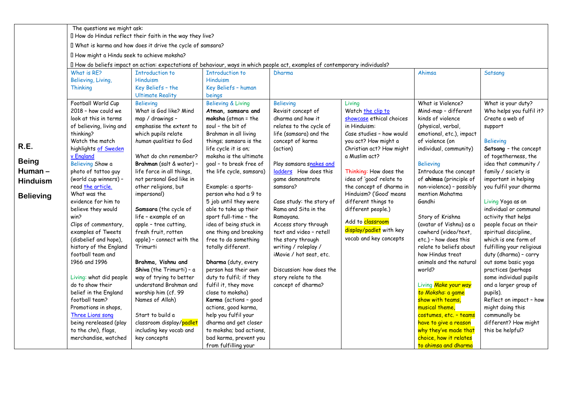|                  | The questions we might ask:                                                                                                    | I How do Hindus reflect their faith in the way they live?   |                                                   |                                                  |                          |                                               |                                               |  |  |  |  |
|------------------|--------------------------------------------------------------------------------------------------------------------------------|-------------------------------------------------------------|---------------------------------------------------|--------------------------------------------------|--------------------------|-----------------------------------------------|-----------------------------------------------|--|--|--|--|
|                  |                                                                                                                                | I What is karma and how does it drive the cycle of samsara? |                                                   |                                                  |                          |                                               |                                               |  |  |  |  |
|                  | I How might a Hindu seek to achieve moksha?                                                                                    |                                                             |                                                   |                                                  |                          |                                               |                                               |  |  |  |  |
|                  | Il How do beliefs impact on action: expectations of behaviour, ways in which people act, examples of contemporary individuals? |                                                             |                                                   |                                                  |                          |                                               |                                               |  |  |  |  |
|                  | What is RF?                                                                                                                    | <b>Introduction to</b>                                      | <b>Introduction to</b>                            | Dharma                                           |                          | Ahimsa                                        | Satsang                                       |  |  |  |  |
|                  | Believing, Living,                                                                                                             | Hinduism                                                    | Hinduism                                          |                                                  |                          |                                               |                                               |  |  |  |  |
|                  | Thinking                                                                                                                       | Key Beliefs - the<br><b>Ultimate Reality</b>                | Key Beliefs - human<br>beings                     |                                                  |                          |                                               |                                               |  |  |  |  |
|                  | Football World Cup                                                                                                             | <b>Believing</b>                                            | <b>Believing &amp; Living</b>                     | <b>Believing</b>                                 | Living                   | What is Violence?                             | What is your duty?                            |  |  |  |  |
|                  | 2018 - how could we                                                                                                            | What is God like? Mind                                      | Atman, samsara and                                | Revisit concept of                               | Watch the clip to        | Mind-map - different                          | Who helps you fulfil it?                      |  |  |  |  |
|                  | look at this in terms                                                                                                          | map / drawings -                                            | moksha (atman = the                               | dharma and how it                                | showcase ethical choices | kinds of violence                             | Create a web of                               |  |  |  |  |
|                  | of believing, living and                                                                                                       | emphasise the extent to                                     | soul - the bit of                                 | relates to the cycle of                          | in Hinduism:             | (physical, verbal,                            | support                                       |  |  |  |  |
|                  | thinking?                                                                                                                      | which pupils relate                                         | Brahman in all living                             | life (samsara) and the                           | Case studies - how would | emotional, etc.), impact                      |                                               |  |  |  |  |
| R.E.             | Watch the match                                                                                                                | human qualities to God                                      | things; samsara is the                            | concept of karma                                 | you act? How might a     | of violence (on                               | <b>Believing</b>                              |  |  |  |  |
|                  | highlights of Sweden                                                                                                           |                                                             | life cycle it is on;                              | (action)                                         | Christian act? How might | individual, community)                        | Satsang - the concept                         |  |  |  |  |
| <b>Being</b>     | v England<br>Believing Show a                                                                                                  | What do chn remember?<br>Brahman (salt & water) -           | moksha is the ultimate<br>goal - to break free of |                                                  | a Muslim act?            | <b>Believing</b>                              | of togetherness, the<br>idea that community / |  |  |  |  |
| Human-           | photo of tattoo guy                                                                                                            | life force in all things,                                   | the life cycle, samsara)                          | Play samsara snakes and<br>ladders How does this | Thinking: How does the   | Introduce the concept                         | family / society is                           |  |  |  |  |
| <b>Hinduism</b>  | (world cup winners) -                                                                                                          | not personal God like in                                    |                                                   | game demonstrate                                 | idea of 'good' relate to | of ahimsa (principle of                       | important in helping                          |  |  |  |  |
|                  | read the article.                                                                                                              | other religions, but                                        | Example: a sports-                                | samsara?                                         | the concept of dharma in | non-violence) - possibly                      | you fulfil your dharma                        |  |  |  |  |
| <b>Believing</b> | What was the                                                                                                                   | impersonal)                                                 | person who had a 9 to                             |                                                  | Hinduism? ('Good' means  | mention Mahatma                               |                                               |  |  |  |  |
|                  | evidence for him to                                                                                                            |                                                             | 5 job until they were                             | Case study: the story of                         | different things to      | Gandhi                                        | Living Yoga as an                             |  |  |  |  |
|                  | believe they would                                                                                                             | Samsara (the cycle of                                       | able to take up their                             | Rama and Sita in the                             | different people.)       |                                               | individual or communal                        |  |  |  |  |
|                  | win?                                                                                                                           | life - example of an                                        | sport full-time - the                             | Ramayana.                                        | Add to classroom         | Story of Krishna                              | activity that helps                           |  |  |  |  |
|                  | Clips of commentary,                                                                                                           | apple - tree cutting,                                       | idea of being stuck in                            | Access story through                             | display/padlet with key  | (avatar of Vishnu) as a                       | people focus on their                         |  |  |  |  |
|                  | examples of Tweets<br>(disbelief and hope),                                                                                    | fresh fruit, rotten<br>apple) - connect with the            | one thing and breaking<br>free to do something    | text and video - retell<br>the story through     | vocab and key concepts   | cowherd (video/text,<br>etc.) - how does this | spiritual discipline,<br>which is one form of |  |  |  |  |
|                  | history of the England                                                                                                         | Trimurti                                                    | totally different.                                | writing / roleplay /                             |                          | relate to beliefs about                       | fulfilling your religious                     |  |  |  |  |
|                  | football team and                                                                                                              |                                                             |                                                   | iMovie / hot seat, etc.                          |                          | how Hindus treat                              | duty (dharma) - carry                         |  |  |  |  |
|                  | 1966 and 1996                                                                                                                  | Brahma, Vishnu and                                          | Dharma (duty, every                               |                                                  |                          | animals and the natural                       | out some basic yoga                           |  |  |  |  |
|                  |                                                                                                                                | Shiva (the Trimurti) - a                                    | person has their own                              | Discussion: how does the                         |                          | world?                                        | practices (perhaps                            |  |  |  |  |
|                  | Living: what did people                                                                                                        | way of trying to better                                     | duty to fulfil; if they                           | story relate to the                              |                          |                                               | some individual pupils                        |  |  |  |  |
|                  | do to show their                                                                                                               | understand Brahman and                                      | fulfil it, they move                              | concept of dharma?                               |                          | Living Make your way                          | and a larger group of                         |  |  |  |  |
|                  | belief in the England                                                                                                          | worship him (cf. 99                                         | close to moksha)                                  |                                                  |                          | to Moksha: a game                             | pupils).                                      |  |  |  |  |
|                  | football team?<br>Promotions in shops,                                                                                         | Names of Allah)                                             | Karma (actions - good<br>actions, good karma,     |                                                  |                          | show with teams,<br>musical theme,            | Reflect on impact - how<br>might doing this   |  |  |  |  |
|                  | Three Lions song                                                                                                               | Start to build a                                            | help you fulfil your                              |                                                  |                          | costumes, etc. - teams                        | communally be                                 |  |  |  |  |
|                  | being rereleased (play                                                                                                         | classroom display/padlet                                    | dharma and get closer                             |                                                  |                          | have to give a reason                         | different? How might                          |  |  |  |  |
|                  | to the chn), flags,                                                                                                            | including key vocab and                                     | to moksha; bad actions,                           |                                                  |                          | why they've made that                         | this be helpful?                              |  |  |  |  |
|                  | merchandise, watched                                                                                                           | key concepts                                                | bad karma, prevent you                            |                                                  |                          | choice, how it relates                        |                                               |  |  |  |  |
|                  |                                                                                                                                |                                                             | from fulfilling your                              |                                                  |                          | to ahimsa and dharma                          |                                               |  |  |  |  |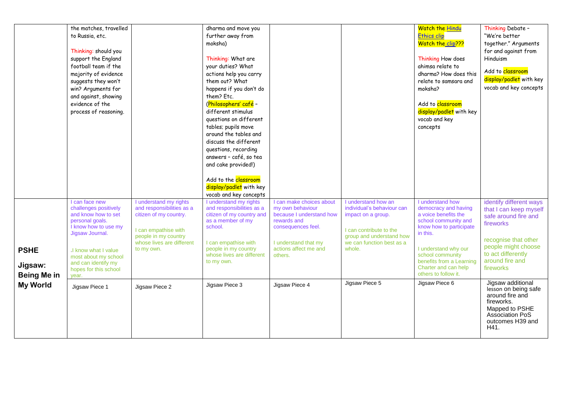|                                              | the matches, travelled<br>to Russia, etc.<br>Thinking: should you<br>support the England<br>football team if the<br>majority of evidence<br>suggests they won't<br>win? Arguments for<br>and against, showing<br>evidence of the<br>process of reasoning. |                                                                                                                                                                          | dharma and move you<br>further away from<br>moksha)<br>Thinking: What are<br>your duties? What<br>actions help you carry<br>them out? What<br>happens if you don't do<br>them? Etc.<br>(Philosophers' café -<br>different stimulus<br>questions on different<br>tables; pupils move<br>around the tables and<br>discuss the different<br>questions, recording<br>answers - café, so tea<br>and cake provided!)<br>Add to the <b>classroom</b><br>display/padlet with key |                                                                                                                                                                           |                                                                                                                                                                       | <b>Watch the Hindu</b><br><b>Ethics clip</b><br>Watch the clip???<br>Thinking How does<br>ahimsa relate to<br>dharma? How does this<br>relate to samsara and<br>moksha?<br>Add to classroom<br>display/padlet with key<br>vocab and key<br>concepts     | Thinking Debate -<br>"We're better<br>together." Arguments<br>for and against from<br>Hinduism<br>Add to <b>classroom</b><br>display/padlet with key<br>vocab and key concepts              |
|----------------------------------------------|-----------------------------------------------------------------------------------------------------------------------------------------------------------------------------------------------------------------------------------------------------------|--------------------------------------------------------------------------------------------------------------------------------------------------------------------------|--------------------------------------------------------------------------------------------------------------------------------------------------------------------------------------------------------------------------------------------------------------------------------------------------------------------------------------------------------------------------------------------------------------------------------------------------------------------------|---------------------------------------------------------------------------------------------------------------------------------------------------------------------------|-----------------------------------------------------------------------------------------------------------------------------------------------------------------------|---------------------------------------------------------------------------------------------------------------------------------------------------------------------------------------------------------------------------------------------------------|---------------------------------------------------------------------------------------------------------------------------------------------------------------------------------------------|
| <b>PSHE</b><br>Jigsaw:<br><b>Being Me in</b> | I can face new<br>challenges positively<br>and know how to set<br>personal goals.<br>I know how to use my<br>Jigsaw Journal.<br>I know what I value<br>most about my school<br>and can identify my<br>hopes for this school<br>year.                      | I understand my rights<br>and responsibilities as a<br>citizen of my country.<br>I can empathise with<br>people in my country<br>whose lives are different<br>to my own. | vocab and key concepts<br>I understand my rights<br>and responsibilities as a<br>citizen of my country and<br>as a member of my<br>school.<br>I can empathise with<br>people in my country<br>whose lives are different<br>to my own.                                                                                                                                                                                                                                    | I can make choices about<br>my own behaviour<br>because I understand how<br>rewards and<br>consequences feel.<br>I understand that my<br>actions affect me and<br>others. | I understand how an<br>individual's behaviour can<br>impact on a group.<br>I can contribute to the<br>group and understand how<br>we can function best as a<br>whole. | I understand how<br>democracy and having<br>a voice benefits the<br>school community and<br>know how to participate<br>in this.<br>I understand why our<br>school community<br>benefits from a Learning<br>Charter and can help<br>others to follow it. | identify different ways<br>that I can keep myself<br>safe around fire and<br>fireworks<br>recognise that other<br>people might choose<br>to act differently<br>around fire and<br>fireworks |
| <b>My World</b>                              | Jigsaw Piece 1                                                                                                                                                                                                                                            | Jigsaw Piece 2                                                                                                                                                           | Jigsaw Piece 3                                                                                                                                                                                                                                                                                                                                                                                                                                                           | Jigsaw Piece 4                                                                                                                                                            | Jigsaw Piece 5                                                                                                                                                        | Jigsaw Piece 6                                                                                                                                                                                                                                          | Jigsaw additional<br>lesson on being safe<br>around fire and<br>fireworks.<br>Mapped to PSHE<br><b>Association PoS</b><br>outcomes H39 and<br>H41.                                          |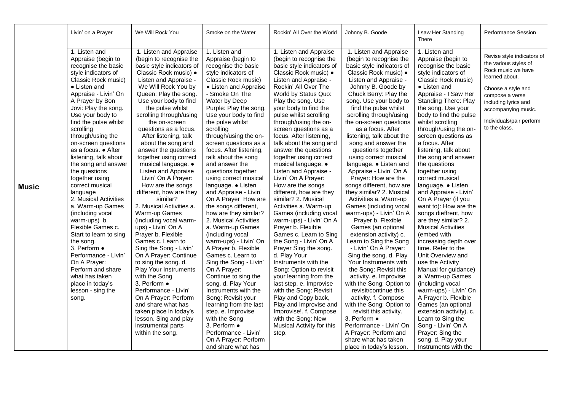|              | Livin' on a Prayer                                                                                                                                                                                                                                                                                                                                                                                                                                                                                                                                                                                                                                                                                                                               | We Will Rock You                                                                                                                                                                                                                                                                                                                                                                                                                                                                                                                                                                                                                                                                                                                                                                                                                                                                                                                                                                            | Smoke on the Water                                                                                                                                                                                                                                                                                                                                                                                                                                                                                                                                                                                                                                                                                                                                                                                                                                                                                                                                                                               | Rockin' All Over the World                                                                                                                                                                                                                                                                                                                                                                                                                                                                                                                                                                                                                                                                                                                                                                                                                                                                                                                                                                                                                  | Johnny B. Goode                                                                                                                                                                                                                                                                                                                                                                                                                                                                                                                                                                                                                                                                                                                                                                                                                                                                                                                                                                                                                                                                                                              | I saw Her Standing<br>There                                                                                                                                                                                                                                                                                                                                                                                                                                                                                                                                                                                                                                                                                                                                                                                                                                                                                                                                                                           | <b>Performance Session</b>                                                                                                                                                                                                       |
|--------------|--------------------------------------------------------------------------------------------------------------------------------------------------------------------------------------------------------------------------------------------------------------------------------------------------------------------------------------------------------------------------------------------------------------------------------------------------------------------------------------------------------------------------------------------------------------------------------------------------------------------------------------------------------------------------------------------------------------------------------------------------|---------------------------------------------------------------------------------------------------------------------------------------------------------------------------------------------------------------------------------------------------------------------------------------------------------------------------------------------------------------------------------------------------------------------------------------------------------------------------------------------------------------------------------------------------------------------------------------------------------------------------------------------------------------------------------------------------------------------------------------------------------------------------------------------------------------------------------------------------------------------------------------------------------------------------------------------------------------------------------------------|--------------------------------------------------------------------------------------------------------------------------------------------------------------------------------------------------------------------------------------------------------------------------------------------------------------------------------------------------------------------------------------------------------------------------------------------------------------------------------------------------------------------------------------------------------------------------------------------------------------------------------------------------------------------------------------------------------------------------------------------------------------------------------------------------------------------------------------------------------------------------------------------------------------------------------------------------------------------------------------------------|---------------------------------------------------------------------------------------------------------------------------------------------------------------------------------------------------------------------------------------------------------------------------------------------------------------------------------------------------------------------------------------------------------------------------------------------------------------------------------------------------------------------------------------------------------------------------------------------------------------------------------------------------------------------------------------------------------------------------------------------------------------------------------------------------------------------------------------------------------------------------------------------------------------------------------------------------------------------------------------------------------------------------------------------|------------------------------------------------------------------------------------------------------------------------------------------------------------------------------------------------------------------------------------------------------------------------------------------------------------------------------------------------------------------------------------------------------------------------------------------------------------------------------------------------------------------------------------------------------------------------------------------------------------------------------------------------------------------------------------------------------------------------------------------------------------------------------------------------------------------------------------------------------------------------------------------------------------------------------------------------------------------------------------------------------------------------------------------------------------------------------------------------------------------------------|-------------------------------------------------------------------------------------------------------------------------------------------------------------------------------------------------------------------------------------------------------------------------------------------------------------------------------------------------------------------------------------------------------------------------------------------------------------------------------------------------------------------------------------------------------------------------------------------------------------------------------------------------------------------------------------------------------------------------------------------------------------------------------------------------------------------------------------------------------------------------------------------------------------------------------------------------------------------------------------------------------|----------------------------------------------------------------------------------------------------------------------------------------------------------------------------------------------------------------------------------|
| <b>Music</b> | 1. Listen and<br>Appraise (begin to<br>recognise the basic<br>style indicators of<br>Classic Rock music)<br>$\bullet$ Listen and<br>Appraise - Livin' On<br>A Prayer by Bon<br>Jovi: Play the song.<br>Use your body to<br>find the pulse whilst<br>scrolling<br>through/using the<br>on-screen questions<br>as a focus. ● After<br>listening, talk about<br>the song and answer<br>the questions<br>together using<br>correct musical<br>language<br>2. Musical Activities<br>a. Warm-up Games<br>(including vocal<br>warm-ups) b.<br>Flexible Games c.<br>Start to learn to sing<br>the song.<br>3. Perform •<br>Performance - Livin'<br>On A Prayer:<br>Perform and share<br>what has taken<br>place in today's<br>lesson - sing the<br>song. | 1. Listen and Appraise<br>(begin to recognise the<br>basic style indicators of<br>Classic Rock music) .<br>Listen and Appraise -<br>We Will Rock You by<br>Queen: Play the song.<br>Use your body to find<br>the pulse whilst<br>scrolling through/using<br>the on-screen<br>questions as a focus.<br>After listening, talk<br>about the song and<br>answer the questions<br>together using correct<br>musical language. •<br>Listen and Appraise<br>Livin' On A Prayer:<br>How are the songs<br>different, how are they<br>similar?<br>2. Musical Activities a.<br>Warm-up Games<br>(including vocal warm-<br>ups) - Livin' On A<br>Prayer b. Flexible<br>Games c. Learn to<br>Sing the Song - Livin'<br>On A Prayer: Continue<br>to sing the song. d.<br><b>Play Your Instruments</b><br>with the Song<br>3. Perform •<br>Performance - Livin'<br>On A Prayer: Perform<br>and share what has<br>taken place in today's<br>lesson. Sing and play<br>instrumental parts<br>within the song. | 1. Listen and<br>Appraise (begin to<br>recognise the basic<br>style indicators of<br>Classic Rock music)<br>• Listen and Appraise<br>- Smoke On The<br>Water by Deep<br>Purple: Play the song.<br>Use your body to find<br>the pulse whilst<br>scrolling<br>through/using the on-<br>screen questions as a<br>focus. After listening,<br>talk about the song<br>and answer the<br>questions together<br>using correct musical<br>language. • Listen<br>and Appraise - Livin'<br>On A Prayer How are<br>the songs different,<br>how are they similar?<br>2. Musical Activities<br>a. Warm-up Games<br>(including vocal<br>warm-ups) - Livin' On<br>A Prayer b. Flexible<br>Games c. Learn to<br>Sing the Song - Livin'<br>On A Prayer:<br>Continue to sing the<br>song. d. Play Your<br>Instruments with the<br>Song: Revisit your<br>learning from the last<br>step. e. Improvise<br>with the Song<br>3. Perform $\bullet$<br>Performance - Livin'<br>On A Prayer: Perform<br>and share what has | 1. Listen and Appraise<br>(begin to recognise the<br>basic style indicators of<br>Classic Rock music) .<br>Listen and Appraise -<br>Rockin' All Over The<br>World by Status Quo:<br>Play the song. Use<br>your body to find the<br>pulse whilst scrolling<br>through/using the on-<br>screen questions as a<br>focus. After listening,<br>talk about the song and<br>answer the questions<br>together using correct<br>musical language. •<br>Listen and Appraise -<br>Livin' On A Prayer:<br>How are the songs<br>different, how are they<br>similar? 2. Musical<br>Activities a. Warm-up<br>Games (including vocal<br>warm-ups) - Livin' On A<br>Prayer b. Flexible<br>Games c. Learn to Sing<br>the Song - Livin' On A<br>Prayer Sing the song.<br>d. Play Your<br>Instruments with the<br>Song: Option to revisit<br>your learning from the<br>last step. e. Improvise<br>with the Song: Revisit<br>Play and Copy back,<br>Play and Improvise and<br>Improvise!. f. Compose<br>with the Song: New<br>Musical Activity for this<br>step. | 1. Listen and Appraise<br>(begin to recognise the<br>basic style indicators of<br>Classic Rock music) .<br>Listen and Appraise -<br>Johnny B. Goode by<br>Chuck Berry: Play the<br>song. Use your body to<br>find the pulse whilst<br>scrolling through/using<br>the on-screen questions<br>as a focus. After<br>listening, talk about the<br>song and answer the<br>questions together<br>using correct musical<br>language. • Listen and<br>Appraise - Livin' On A<br>Prayer: How are the<br>songs different, how are<br>they similar? 2. Musical<br>Activities a. Warm-up<br>Games (including vocal<br>warm-ups) - Livin' On A<br>Prayer b. Flexible<br>Games (an optional<br>extension activity) c.<br>Learn to Sing the Song<br>- Livin' On A Prayer:<br>Sing the song. d. Play<br>Your Instruments with<br>the Song: Revisit this<br>activity. e. Improvise<br>with the Song: Option to<br>revisit/continue this<br>activity. f. Compose<br>with the Song: Option to<br>revisit this activity.<br>3. Perform ·<br>Performance - Livin' On<br>A Prayer: Perform and<br>share what has taken<br>place in today's lesson. | 1. Listen and<br>Appraise (begin to<br>recognise the basic<br>style indicators of<br>Classic Rock music)<br>$\bullet$ Listen and<br>Appraise - I Saw Her<br><b>Standing There: Play</b><br>the song. Use your<br>body to find the pulse<br>whilst scrolling<br>through/using the on-<br>screen questions as<br>a focus. After<br>listening, talk about<br>the song and answer<br>the questions<br>together using<br>correct musical<br>language. • Listen<br>and Appraise - Livin'<br>On A Prayer (if you<br>want to): How are the<br>songs dieffrent, how<br>are they similar? 2.<br><b>Musical Activities</b><br>(embed with<br>increasing depth over<br>time. Refer to the<br>Unit Overview and<br>use the Activity<br>Manual for guidance)<br>a. Warm-up Games<br>(including vocal<br>warm-ups) - Livin' On<br>A Prayer b. Flexible<br>Games (an optional<br>extension activity). c.<br>Learn to Sing the<br>Song - Livin' On A<br>Prayer: Sing the<br>song. d. Play your<br>Instruments with the | Revise style indicators of<br>the various styles of<br>Rock music we have<br>learned about.<br>Choose a style and<br>compose a verse<br>including lyrics and<br>accompanying music.<br>Individuals/pair perform<br>to the class. |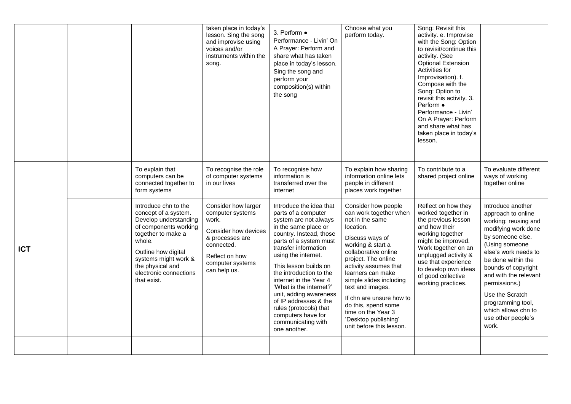|            |                                                                                                                                                                                                                                            | taken place in today's<br>lesson. Sing the song<br>and improvise using<br>voices and/or<br>instruments within the<br>song.                                      | 3. Perform $\bullet$<br>Performance - Livin' On<br>A Prayer: Perform and<br>share what has taken<br>place in today's lesson.<br>Sing the song and<br>perform your<br>composition(s) within<br>the song                                                                                                                                                                                                                                                | Choose what you<br>perform today.                                                                                                                                                                                                                                                                                                                                                              | Song: Revisit this<br>activity. e. Improvise<br>with the Song: Option<br>to revisit/continue this<br>activity. (See<br><b>Optional Extension</b><br>Activities for<br>Improvisation). f.<br>Compose with the<br>Song: Option to<br>revisit this activity. 3.<br>Perform •<br>Performance - Livin'<br>On A Prayer: Perform<br>and share what has<br>taken place in today's<br>lesson. |                                                                                                                                                                                                                                                                                                                                           |
|------------|--------------------------------------------------------------------------------------------------------------------------------------------------------------------------------------------------------------------------------------------|-----------------------------------------------------------------------------------------------------------------------------------------------------------------|-------------------------------------------------------------------------------------------------------------------------------------------------------------------------------------------------------------------------------------------------------------------------------------------------------------------------------------------------------------------------------------------------------------------------------------------------------|------------------------------------------------------------------------------------------------------------------------------------------------------------------------------------------------------------------------------------------------------------------------------------------------------------------------------------------------------------------------------------------------|--------------------------------------------------------------------------------------------------------------------------------------------------------------------------------------------------------------------------------------------------------------------------------------------------------------------------------------------------------------------------------------|-------------------------------------------------------------------------------------------------------------------------------------------------------------------------------------------------------------------------------------------------------------------------------------------------------------------------------------------|
|            | To explain that<br>computers can be<br>connected together to<br>form systems                                                                                                                                                               | To recognise the role<br>of computer systems<br>in our lives                                                                                                    | To recognise how<br>information is<br>transferred over the<br>internet                                                                                                                                                                                                                                                                                                                                                                                | To explain how sharing<br>information online lets<br>people in different<br>places work together                                                                                                                                                                                                                                                                                               | To contribute to a<br>shared project online                                                                                                                                                                                                                                                                                                                                          | To evaluate different<br>ways of working<br>together online                                                                                                                                                                                                                                                                               |
| <b>ICT</b> | Introduce chn to the<br>concept of a system.<br>Develop understanding<br>of components working<br>together to make a<br>whole.<br>Outline how digital<br>systems might work &<br>the physical and<br>electronic connections<br>that exist. | Consider how larger<br>computer systems<br>work.<br>Consider how devices<br>& processes are<br>connected.<br>Reflect on how<br>computer systems<br>can help us. | Introduce the idea that<br>parts of a computer<br>system are not always<br>in the same place or<br>country. Instead, those<br>parts of a system must<br>transfer information<br>using the internet.<br>This lesson builds on<br>the introduction to the<br>internet in the Year 4<br>'What is the internet?'<br>unit, adding awareness<br>of IP addresses & the<br>rules (protocols) that<br>computers have for<br>communicating with<br>one another. | Consider how people<br>can work together when<br>not in the same<br>location.<br>Discuss ways of<br>working & start a<br>collaborative online<br>project. The online<br>activity assumes that<br>learners can make<br>simple slides including<br>text and images.<br>If chn are unsure how to<br>do this, spend some<br>time on the Year 3<br>'Desktop publishing'<br>unit before this lesson. | Reflect on how they<br>worked together in<br>the previous lesson<br>and how their<br>working together<br>might be improved.<br>Work together on an<br>unplugged activity &<br>use that experience<br>to develop own ideas<br>of good collective<br>working practices.                                                                                                                | Introduce another<br>approach to online<br>working: reusing and<br>modifying work done<br>by someone else.<br>(Using someone<br>else's work needs to<br>be done within the<br>bounds of copyright<br>and with the relevant<br>permissions.)<br>Use the Scratch<br>programming tool,<br>which allows chn to<br>use other people's<br>work. |
|            |                                                                                                                                                                                                                                            |                                                                                                                                                                 |                                                                                                                                                                                                                                                                                                                                                                                                                                                       |                                                                                                                                                                                                                                                                                                                                                                                                |                                                                                                                                                                                                                                                                                                                                                                                      |                                                                                                                                                                                                                                                                                                                                           |